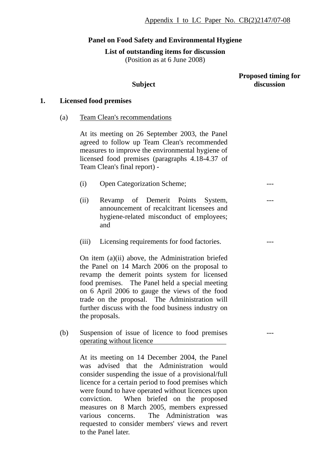## **Panel on Food Safety and Environmental Hygiene**

**List of outstanding items for discussion** 

(Position as at 6 June 2008)

## **Subject**

#### **Proposed timing for discussion**

---

---

---

---

## **1. Licensed food premises**

(a) Team Clean's recommendations

At its meeting on 26 September 2003, the Panel agreed to follow up Team Clean's recommended measures to improve the environmental hygiene of licensed food premises (paragraphs 4.18-4.37 of Team Clean's final report) -

- (i) Open Categorization Scheme;
- (ii) Revamp of Demerit Points System, announcement of recalcitrant licensees and hygiene-related misconduct of employees; and
- (iii) Licensing requirements for food factories.

On item (a)(ii) above, the Administration briefed the Panel on 14 March 2006 on the proposal to revamp the demerit points system for licensed food premises. The Panel held a special meeting on 6 April 2006 to gauge the views of the food trade on the proposal. The Administration will further discuss with the food business industry on the proposals.

(b) Suspension of issue of licence to food premises operating without licence

> At its meeting on 14 December 2004, the Panel was advised that the Administration would consider suspending the issue of a provisional/full licence for a certain period to food premises which were found to have operated without licences upon conviction. When briefed on the proposed measures on 8 March 2005, members expressed various concerns. The Administration was requested to consider members' views and revert to the Panel later.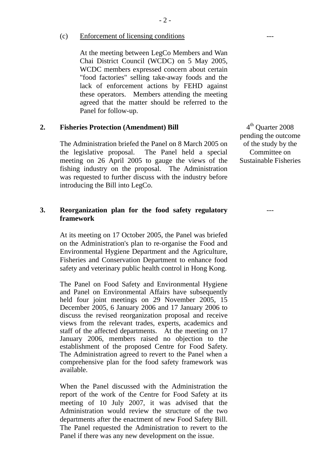(c) Enforcement of licensing conditions

At the meeting between LegCo Members and Wan Chai District Council (WCDC) on 5 May 2005, WCDC members expressed concern about certain "food factories" selling take-away foods and the lack of enforcement actions by FEHD against these operators. Members attending the meeting agreed that the matter should be referred to the Panel for follow-up.

## **2. Fisheries Protection (Amendment) Bill**

The Administration briefed the Panel on 8 March 2005 on the legislative proposal. The Panel held a special meeting on 26 April 2005 to gauge the views of the fishing industry on the proposal. The Administration was requested to further discuss with the industry before introducing the Bill into LegCo.

#### **3. Reorganization plan for the food safety regulatory framework**

At its meeting on 17 October 2005, the Panel was briefed on the Administration's plan to re-organise the Food and Environmental Hygiene Department and the Agriculture, Fisheries and Conservation Department to enhance food safety and veterinary public health control in Hong Kong.

The Panel on Food Safety and Environmental Hygiene and Panel on Environmental Affairs have subsequently held four joint meetings on 29 November 2005, 15 December 2005, 6 January 2006 and 17 January 2006 to discuss the revised reorganization proposal and receive views from the relevant trades, experts, academics and staff of the affected departments. At the meeting on 17 January 2006, members raised no objection to the establishment of the proposed Centre for Food Safety. The Administration agreed to revert to the Panel when a comprehensive plan for the food safety framework was available.

When the Panel discussed with the Administration the report of the work of the Centre for Food Safety at its meeting of 10 July 2007, it was advised that the Administration would review the structure of the two departments after the enactment of new Food Safety Bill. The Panel requested the Administration to revert to the Panel if there was any new development on the issue.

4<sup>th</sup> Ouarter 2008 pending the outcome of the study by the Committee on Sustainable Fisheries

---

---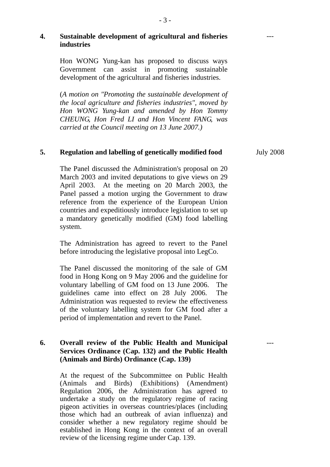## **4. Sustainable development of agricultural and fisheries industries**

Hon WONG Yung-kan has proposed to discuss ways Government can assist in promoting sustainable development of the agricultural and fisheries industries.

(*A motion on "Promoting the sustainable development of the local agriculture and fisheries industries", moved by Hon WONG Yung-kan and amended by Hon Tommy CHEUNG, Hon Fred LI and Hon Vincent FANG, was carried at the Council meeting on 13 June 2007.)* 

#### **5. Regulation and labelling of genetically modified food**

The Panel discussed the Administration's proposal on 20 March 2003 and invited deputations to give views on 29 April 2003. At the meeting on 20 March 2003, the Panel passed a motion urging the Government to draw reference from the experience of the European Union countries and expeditiously introduce legislation to set up a mandatory genetically modified (GM) food labelling system.

The Administration has agreed to revert to the Panel before introducing the legislative proposal into LegCo.

The Panel discussed the monitoring of the sale of GM food in Hong Kong on 9 May 2006 and the guideline for voluntary labelling of GM food on 13 June 2006. The guidelines came into effect on 28 July 2006. The Administration was requested to review the effectiveness of the voluntary labelling system for GM food after a period of implementation and revert to the Panel.

# **6. Overall review of the Public Health and Municipal Services Ordinance (Cap. 132) and the Public Health (Animals and Birds) Ordinance (Cap. 139)**

At the request of the Subcommittee on Public Health (Animals and Birds) (Exhibitions) (Amendment) Regulation 2006, the Administration has agreed to undertake a study on the regulatory regime of racing pigeon activities in overseas countries/places (including those which had an outbreak of avian influenza) and consider whether a new regulatory regime should be established in Hong Kong in the context of an overall review of the licensing regime under Cap. 139.

July 2008

---

---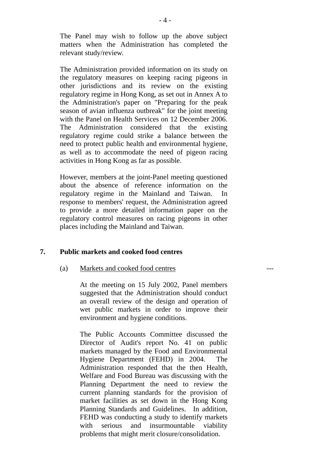The Panel may wish to follow up the above subject matters when the Administration has completed the relevant study/review.

The Administration provided information on its study on the regulatory measures on keeping racing pigeons in other jurisdictions and its review on the existing regulatory regime in Hong Kong, as set out in Annex A to the Administration's paper on "Preparing for the peak season of avian influenza outbreak" for the joint meeting with the Panel on Health Services on 12 December 2006. The Administration considered that the existing regulatory regime could strike a balance between the need to protect public health and environmental hygiene, as well as to accommodate the need of pigeon racing activities in Hong Kong as far as possible.

However, members at the joint-Panel meeting questioned about the absence of reference information on the regulatory regime in the Mainland and Taiwan. In response to members' request, the Administration agreed to provide a more detailed information paper on the regulatory control measures on racing pigeons in other places including the Mainland and Taiwan.

## **7. Public markets and cooked food centres**

#### (a) Markets and cooked food centres

At the meeting on 15 July 2002, Panel members suggested that the Administration should conduct an overall review of the design and operation of wet public markets in order to improve their environment and hygiene conditions.

---

The Public Accounts Committee discussed the Director of Audit's report No. 41 on public markets managed by the Food and Environmental Hygiene Department (FEHD) in 2004. The Administration responded that the then Health, Welfare and Food Bureau was discussing with the Planning Department the need to review the current planning standards for the provision of market facilities as set down in the Hong Kong Planning Standards and Guidelines. In addition, FEHD was conducting a study to identify markets with serious and insurmountable viability problems that might merit closure/consolidation.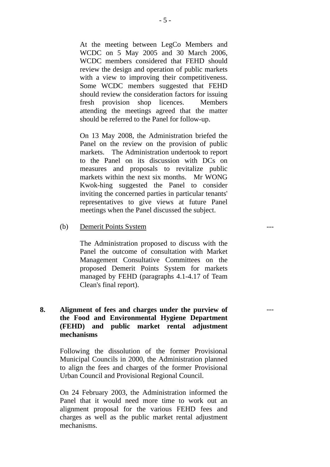At the meeting between LegCo Members and WCDC on 5 May 2005 and 30 March 2006, WCDC members considered that FEHD should review the design and operation of public markets with a view to improving their competitiveness. Some WCDC members suggested that FEHD should review the consideration factors for issuing fresh provision shop licences. Members attending the meetings agreed that the matter should be referred to the Panel for follow-up.

On 13 May 2008, the Administration briefed the Panel on the review on the provision of public markets. The Administration undertook to report to the Panel on its discussion with DCs on measures and proposals to revitalize public markets within the next six months. Mr WONG Kwok-hing suggested the Panel to consider inviting the concerned parties in particular tenants' representatives to give views at future Panel meetings when the Panel discussed the subject.

(b) Demerit Points System

The Administration proposed to discuss with the Panel the outcome of consultation with Market Management Consultative Committees on the proposed Demerit Points System for markets managed by FEHD (paragraphs 4.1-4.17 of Team Clean's final report).

---

---

# **8. Alignment of fees and charges under the purview of the Food and Environmental Hygiene Department (FEHD) and public market rental adjustment mechanisms**

Following the dissolution of the former Provisional Municipal Councils in 2000, the Administration planned to align the fees and charges of the former Provisional Urban Council and Provisional Regional Council.

On 24 February 2003, the Administration informed the Panel that it would need more time to work out an alignment proposal for the various FEHD fees and charges as well as the public market rental adjustment mechanisms.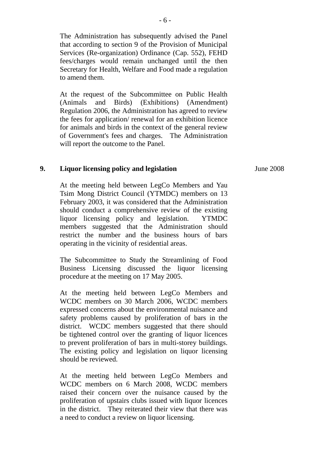The Administration has subsequently advised the Panel that according to section 9 of the Provision of Municipal Services (Re-organization) Ordinance (Cap. 552), FEHD fees/charges would remain unchanged until the then Secretary for Health, Welfare and Food made a regulation to amend them.

At the request of the Subcommittee on Public Health (Animals and Birds) (Exhibitions) (Amendment) Regulation 2006, the Administration has agreed to review the fees for application/ renewal for an exhibition licence for animals and birds in the context of the general review of Government's fees and charges. The Administration will report the outcome to the Panel.

## **9. Liquor licensing policy and legislation**

At the meeting held between LegCo Members and Yau Tsim Mong District Council (YTMDC) members on 13 February 2003, it was considered that the Administration should conduct a comprehensive review of the existing liquor licensing policy and legislation. YTMDC members suggested that the Administration should restrict the number and the business hours of bars operating in the vicinity of residential areas.

The Subcommittee to Study the Streamlining of Food Business Licensing discussed the liquor licensing procedure at the meeting on 17 May 2005.

At the meeting held between LegCo Members and WCDC members on 30 March 2006, WCDC members expressed concerns about the environmental nuisance and safety problems caused by proliferation of bars in the district. WCDC members suggested that there should be tightened control over the granting of liquor licences to prevent proliferation of bars in multi-storey buildings. The existing policy and legislation on liquor licensing should be reviewed.

At the meeting held between LegCo Members and WCDC members on 6 March 2008, WCDC members raised their concern over the nuisance caused by the proliferation of upstairs clubs issued with liquor licences in the district. They reiterated their view that there was a need to conduct a review on liquor licensing.

June 2008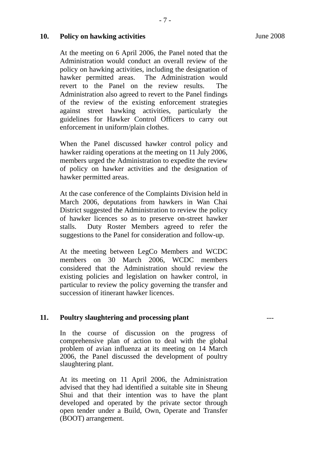---

## **10. Policy on hawking activities**

At the meeting on 6 April 2006, the Panel noted that the Administration would conduct an overall review of the policy on hawking activities, including the designation of hawker permitted areas. The Administration would revert to the Panel on the review results. The Administration also agreed to revert to the Panel findings of the review of the existing enforcement strategies against street hawking activities, particularly the guidelines for Hawker Control Officers to carry out enforcement in uniform/plain clothes.

When the Panel discussed hawker control policy and hawker raiding operations at the meeting on 11 July 2006, members urged the Administration to expedite the review of policy on hawker activities and the designation of hawker permitted areas.

At the case conference of the Complaints Division held in March 2006, deputations from hawkers in Wan Chai District suggested the Administration to review the policy of hawker licences so as to preserve on-street hawker stalls. Duty Roster Members agreed to refer the suggestions to the Panel for consideration and follow-up.

At the meeting between LegCo Members and WCDC members on 30 March 2006, WCDC members considered that the Administration should review the existing policies and legislation on hawker control, in particular to review the policy governing the transfer and succession of itinerant hawker licences.

#### **11. Poultry slaughtering and processing plant**

In the course of discussion on the progress of comprehensive plan of action to deal with the global problem of avian influenza at its meeting on 14 March 2006, the Panel discussed the development of poultry slaughtering plant.

At its meeting on 11 April 2006, the Administration advised that they had identified a suitable site in Sheung Shui and that their intention was to have the plant developed and operated by the private sector through open tender under a Build, Own, Operate and Transfer (BOOT) arrangement.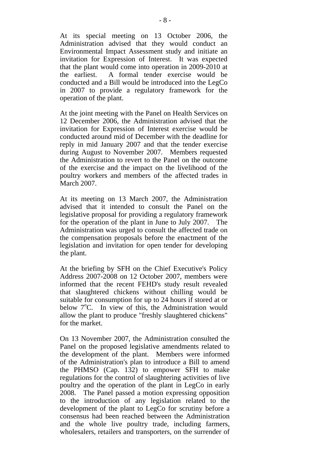At its special meeting on 13 October 2006, the Administration advised that they would conduct an Environmental Impact Assessment study and initiate an invitation for Expression of Interest. It was expected that the plant would come into operation in 2009-2010 at the earliest. A formal tender exercise would be conducted and a Bill would be introduced into the LegCo in 2007 to provide a regulatory framework for the operation of the plant.

At the joint meeting with the Panel on Health Services on 12 December 2006, the Administration advised that the invitation for Expression of Interest exercise would be conducted around mid of December with the deadline for reply in mid January 2007 and that the tender exercise during August to November 2007. Members requested the Administration to revert to the Panel on the outcome of the exercise and the impact on the livelihood of the poultry workers and members of the affected trades in March 2007.

At its meeting on 13 March 2007, the Administration advised that it intended to consult the Panel on the legislative proposal for providing a regulatory framework for the operation of the plant in June to July 2007. The Administration was urged to consult the affected trade on the compensation proposals before the enactment of the legislation and invitation for open tender for developing the plant.

At the briefing by SFH on the Chief Executive's Policy Address 2007-2008 on 12 October 2007, members were informed that the recent FEHD's study result revealed that slaughtered chickens without chilling would be suitable for consumption for up to 24 hours if stored at or below  $7^{\circ}$ C. In view of this, the Administration would allow the plant to produce "freshly slaughtered chickens" for the market.

On 13 November 2007, the Administration consulted the Panel on the proposed legislative amendments related to the development of the plant. Members were informed of the Administration's plan to introduce a Bill to amend the PHMSO (Cap. 132) to empower SFH to make regulations for the control of slaughtering activities of live poultry and the operation of the plant in LegCo in early 2008. The Panel passed a motion expressing opposition to the introduction of any legislation related to the development of the plant to LegCo for scrutiny before a consensus had been reached between the Administration and the whole live poultry trade, including farmers, wholesalers, retailers and transporters, on the surrender of